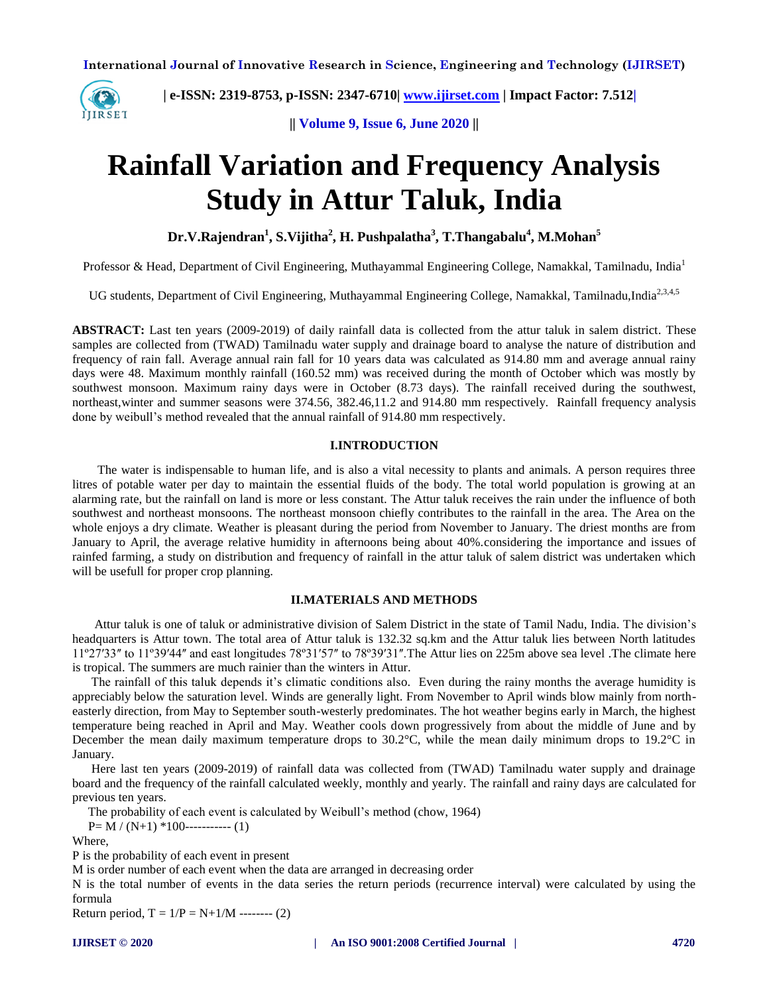

 **| e-ISSN: 2319-8753, p-ISSN: 2347-6710| [www.ijirset.com](http://www.ijirset.com/) | Impact Factor: 7.512|**

**|| Volume 9, Issue 6, June 2020 ||** 

# **Rainfall Variation and Frequency Analysis Study in Attur Taluk, India**

**Dr.V.Rajendran<sup>1</sup> , S.Vijitha<sup>2</sup> , H. Pushpalatha<sup>3</sup> , T.Thangabalu<sup>4</sup> , M.Mohan<sup>5</sup>**

Professor & Head, Department of Civil Engineering, Muthayammal Engineering College, Namakkal, Tamilnadu, India<sup>1</sup>

UG students, Department of Civil Engineering, Muthayammal Engineering College, Namakkal, Tamilnadu,India<sup>2,3,4,5</sup>

**ABSTRACT:** Last ten years (2009-2019) of daily rainfall data is collected from the attur taluk in salem district. These samples are collected from (TWAD) Tamilnadu water supply and drainage board to analyse the nature of distribution and frequency of rain fall. Average annual rain fall for 10 years data was calculated as 914.80 mm and average annual rainy days were 48. Maximum monthly rainfall (160.52 mm) was received during the month of October which was mostly by southwest monsoon. Maximum rainy days were in October (8.73 days). The rainfall received during the southwest, northeast,winter and summer seasons were 374.56, 382.46,11.2 and 914.80 mm respectively. Rainfall frequency analysis done by weibull's method revealed that the annual rainfall of 914.80 mm respectively.

# **I.INTRODUCTION**

 The water is indispensable to human life, and is also a vital necessity to plants and animals. A person requires three litres of potable water per day to maintain the essential fluids of the body. The total world population is growing at an alarming rate, but the rainfall on land is more or less constant. The Attur taluk receives the rain under the influence of both southwest and northeast monsoons. The northeast monsoon chiefly contributes to the rainfall in the area. The Area on the whole enjoys a dry climate. Weather is pleasant during the period from November to January. The driest months are from January to April, the average relative humidity in afternoons being about 40%.considering the importance and issues of rainfed farming, a study on distribution and frequency of rainfall in the attur taluk of salem district was undertaken which will be usefull for proper crop planning.

## **II.MATERIALS AND METHODS**

Attur taluk is one of taluk or administrative division of Salem District in the state of Tamil Nadu, India. The division's headquarters is Attur town. The total area of Attur taluk is 132.32 sq.km and the Attur taluk lies between North latitudes 11º27ʹ33ʺ to 11º39ʹ44ʺ and east longitudes 78º31ʹ57ʺ to 78º39ʹ31ʺ.The Attur lies on 225m above sea level .The climate here is tropical. The summers are much rainier than the winters in Attur.

 The rainfall of this taluk depends it's climatic conditions also. Even during the rainy months the average humidity is appreciably below the saturation level. Winds are generally light. From November to April winds blow mainly from northeasterly direction, from May to September south-westerly predominates. The hot weather begins early in March, the highest temperature being reached in April and May. Weather cools down progressively from about the middle of June and by December the mean daily maximum temperature drops to 30.2°C, while the mean daily minimum drops to 19.2°C in January.

 Here last ten years (2009-2019) of rainfall data was collected from (TWAD) Tamilnadu water supply and drainage board and the frequency of the rainfall calculated weekly, monthly and yearly. The rainfall and rainy days are calculated for previous ten years.

The probability of each event is calculated by Weibull's method (chow, 1964)

 $P=M/(N+1)*100$ ----------- (1)

Where,

P is the probability of each event in present

M is order number of each event when the data are arranged in decreasing order

N is the total number of events in the data series the return periods (recurrence interval) were calculated by using the formula

Return period,  $T = 1/P = N+1/M$  -------- (2)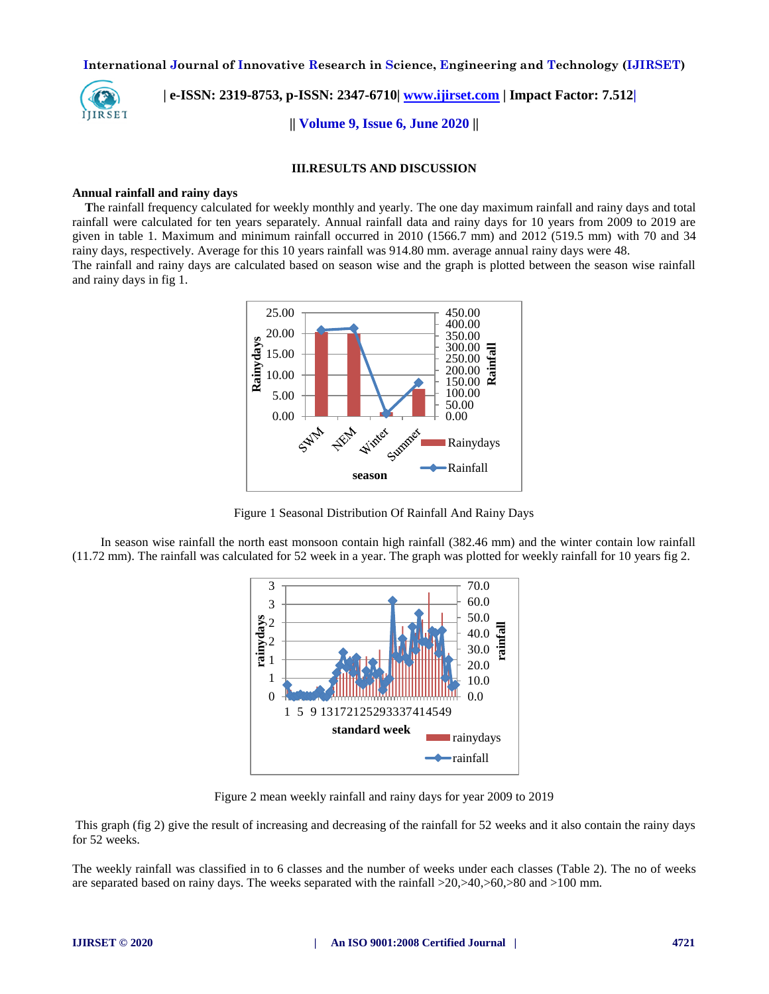

 **| e-ISSN: 2319-8753, p-ISSN: 2347-6710| [www.ijirset.com](http://www.ijirset.com/) | Impact Factor: 7.512|**

**|| Volume 9, Issue 6, June 2020 ||** 

#### **III.RESULTS AND DISCUSSION**

## **Annual rainfall and rainy days**

 **T**he rainfall frequency calculated for weekly monthly and yearly. The one day maximum rainfall and rainy days and total rainfall were calculated for ten years separately. Annual rainfall data and rainy days for 10 years from 2009 to 2019 are given in table 1. Maximum and minimum rainfall occurred in 2010 (1566.7 mm) and 2012 (519.5 mm) with 70 and 34 rainy days, respectively. Average for this 10 years rainfall was 914.80 mm. average annual rainy days were 48.

The rainfall and rainy days are calculated based on season wise and the graph is plotted between the season wise rainfall and rainy days in fig 1.



Figure 1 Seasonal Distribution Of Rainfall And Rainy Days

 In season wise rainfall the north east monsoon contain high rainfall (382.46 mm) and the winter contain low rainfall (11.72 mm). The rainfall was calculated for 52 week in a year. The graph was plotted for weekly rainfall for 10 years fig 2.



Figure 2 mean weekly rainfall and rainy days for year 2009 to 2019

This graph (fig 2) give the result of increasing and decreasing of the rainfall for 52 weeks and it also contain the rainy days for 52 weeks.

The weekly rainfall was classified in to 6 classes and the number of weeks under each classes (Table 2). The no of weeks are separated based on rainy days. The weeks separated with the rainfall  $>20,>40,>60,>80$  and  $>100$  mm.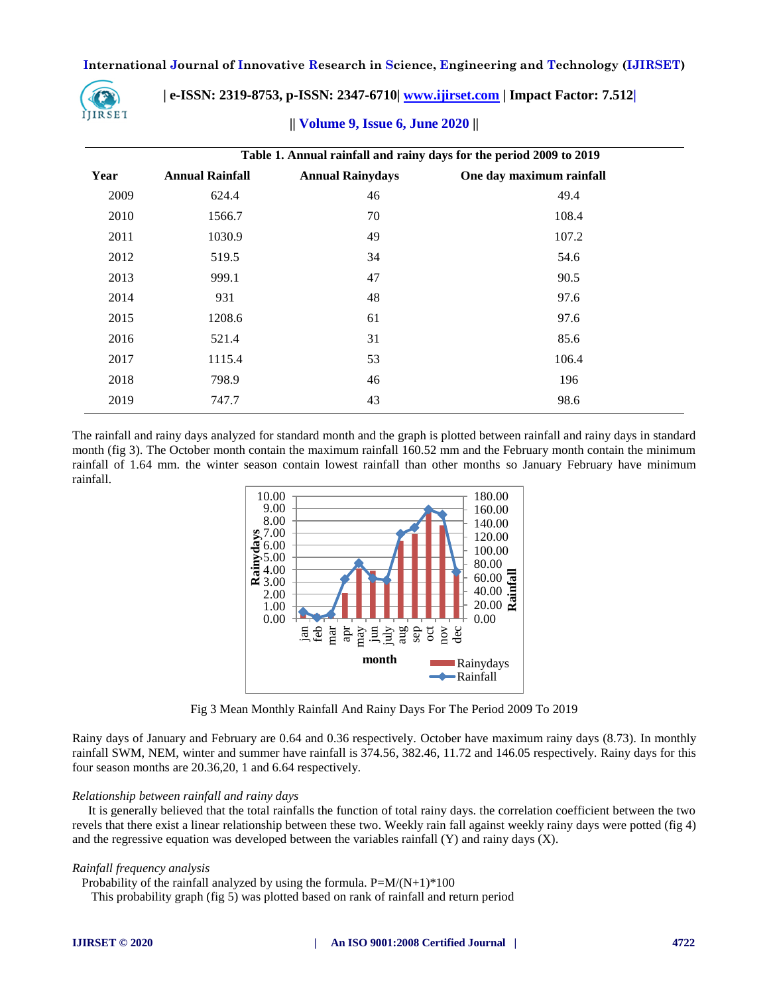

 **| e-ISSN: 2319-8753, p-ISSN: 2347-6710| [www.ijirset.com](http://www.ijirset.com/) | Impact Factor: 7.512|**

# **|| Volume 9, Issue 6, June 2020 ||**

|      | Table 1. Annual rainfall and rainy days for the period 2009 to 2019 |                         |                          |  |  |  |  |  |  |  |
|------|---------------------------------------------------------------------|-------------------------|--------------------------|--|--|--|--|--|--|--|
| Year | <b>Annual Rainfall</b>                                              | <b>Annual Rainydays</b> | One day maximum rainfall |  |  |  |  |  |  |  |
| 2009 | 624.4                                                               | 46                      | 49.4                     |  |  |  |  |  |  |  |
| 2010 | 1566.7                                                              | 70                      | 108.4                    |  |  |  |  |  |  |  |
| 2011 | 1030.9                                                              | 49                      | 107.2                    |  |  |  |  |  |  |  |
| 2012 | 519.5                                                               | 34                      | 54.6                     |  |  |  |  |  |  |  |
| 2013 | 999.1                                                               | 47                      | 90.5                     |  |  |  |  |  |  |  |
| 2014 | 931                                                                 | 48                      | 97.6                     |  |  |  |  |  |  |  |
| 2015 | 1208.6                                                              | 61                      | 97.6                     |  |  |  |  |  |  |  |
| 2016 | 521.4                                                               | 31                      | 85.6                     |  |  |  |  |  |  |  |
| 2017 | 1115.4                                                              | 53                      | 106.4                    |  |  |  |  |  |  |  |
| 2018 | 798.9                                                               | 46                      | 196                      |  |  |  |  |  |  |  |
| 2019 | 747.7                                                               | 43                      | 98.6                     |  |  |  |  |  |  |  |

The rainfall and rainy days analyzed for standard month and the graph is plotted between rainfall and rainy days in standard month (fig 3). The October month contain the maximum rainfall 160.52 mm and the February month contain the minimum rainfall of 1.64 mm. the winter season contain lowest rainfall than other months so January February have minimum rainfall.



Fig 3 Mean Monthly Rainfall And Rainy Days For The Period 2009 To 2019

Rainy days of January and February are 0.64 and 0.36 respectively. October have maximum rainy days (8.73). In monthly rainfall SWM, NEM, winter and summer have rainfall is 374.56, 382.46, 11.72 and 146.05 respectively. Rainy days for this four season months are 20.36,20, 1 and 6.64 respectively.

## *Relationship between rainfall and rainy days*

 It is generally believed that the total rainfalls the function of total rainy days. the correlation coefficient between the two revels that there exist a linear relationship between these two. Weekly rain fall against weekly rainy days were potted (fig 4) and the regressive equation was developed between the variables rainfall  $(Y)$  and rainy days  $(X)$ .

## *Rainfall frequency analysis*

Probability of the rainfall analyzed by using the formula.  $P=M/(N+1)*100$ 

This probability graph (fig 5) was plotted based on rank of rainfall and return period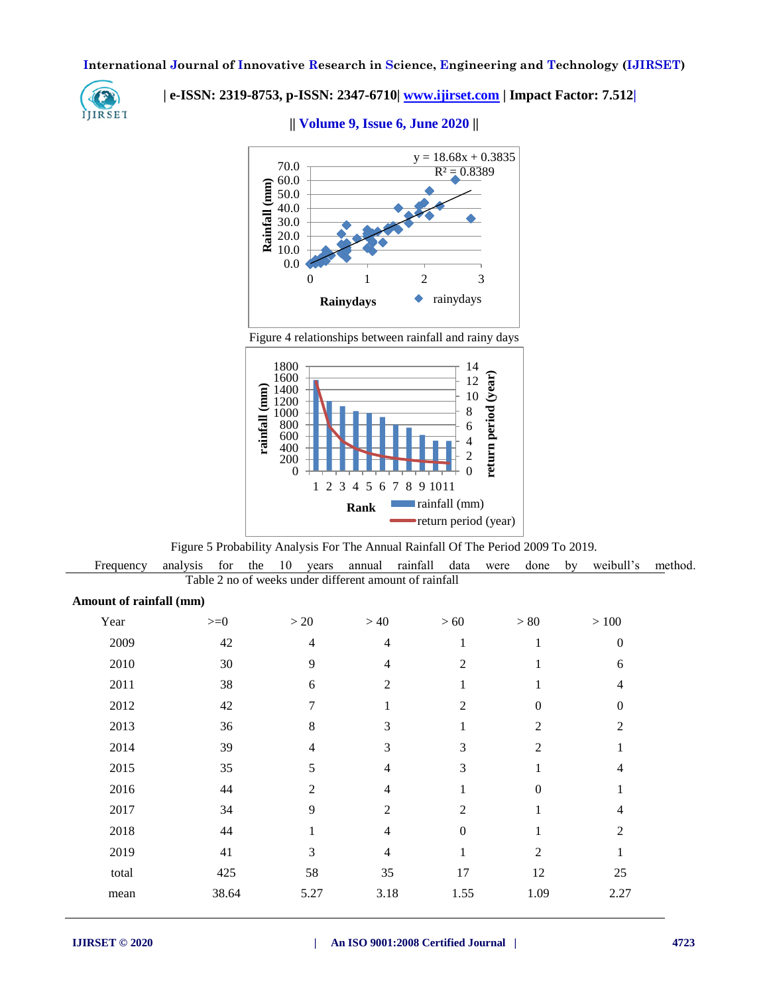

# **| e-ISSN: 2319-8753, p-ISSN: 2347-6710| [www.ijirset.com](http://www.ijirset.com/) | Impact Factor: 7.512|**



**|| Volume 9, Issue 6, June 2020 ||** 

Figure 4 relationships between rainfall and rainy days



Figure 5 Probability Analysis For The Annual Rainfall Of The Period 2009 To 2019.

 Frequency analysis for the 10 years annual rainfall data were done by weibull's method. Table 2 no of weeks under different amount of rainfall

| Amount of rainfall (mm) |  |  |  |
|-------------------------|--|--|--|
|-------------------------|--|--|--|

|                                              |                  | $>80$            | $>100\,$       |
|----------------------------------------------|------------------|------------------|----------------|
| 2009<br>42<br>$\overline{4}$<br>4            | 1                | 1                | $\overline{0}$ |
| 2010<br>9<br>30<br>4                         | $\overline{c}$   | 1                | 6              |
| 2011<br>38<br>$\overline{2}$<br>6            | 1                | 1                | 4              |
| 2012<br>$\overline{7}$<br>42<br>$\mathbf{1}$ | $\mathfrak{2}$   | $\boldsymbol{0}$ | $\Omega$       |
| 8<br>2013<br>3<br>36                         | 1                | $\overline{c}$   | $\overline{2}$ |
| 2014<br>39<br>3<br>$\overline{4}$            | 3                | $\overline{2}$   |                |
| 2015<br>35<br>5<br>$\overline{4}$            | 3                | 1                | $\overline{4}$ |
| 2016<br>44<br>$\overline{2}$<br>4            | 1                | $\boldsymbol{0}$ |                |
| 9<br>$\overline{2}$<br>2017<br>34            | $\overline{2}$   | 1                | $\overline{4}$ |
| 2018<br>$44$<br>$\overline{4}$<br>1          | $\boldsymbol{0}$ | 1                | $\overline{2}$ |
| 2019<br>3<br>41<br>$\overline{4}$            | 1                | $\overline{2}$   |                |
| 58<br>total<br>425<br>35                     | 17               | 12               | 25             |
| 38.64<br>3.18<br>5.27<br>mean                | 1.55             | 1.09             | 2.27           |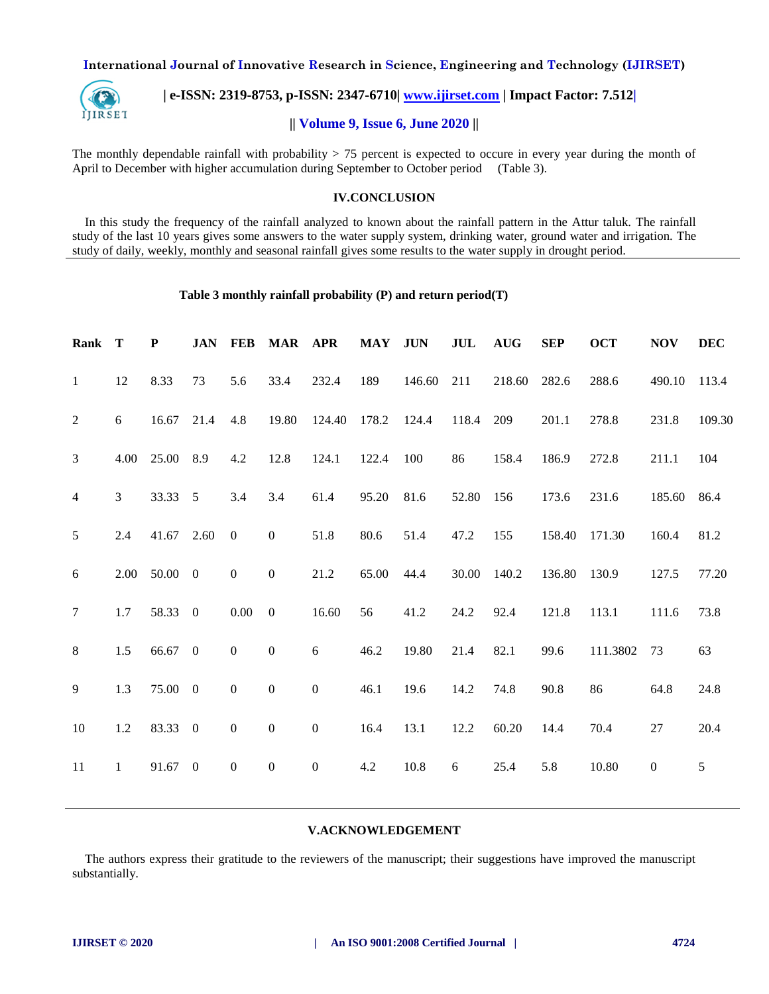

 **| e-ISSN: 2319-8753, p-ISSN: 2347-6710| [www.ijirset.com](http://www.ijirset.com/) | Impact Factor: 7.512|**

# **|| Volume 9, Issue 6, June 2020 ||**

The monthly dependable rainfall with probability  $> 75$  percent is expected to occure in every year during the month of April to December with higher accumulation during September to October period (Table 3).

## **IV.CONCLUSION**

 In this study the frequency of the rainfall analyzed to known about the rainfall pattern in the Attur taluk. The rainfall study of the last 10 years gives some answers to the water supply system, drinking water, ground water and irrigation. The study of daily, weekly, monthly and seasonal rainfall gives some results to the water supply in drought period.

## **Table 3 monthly rainfall probability (P) and return period(T)**

| Rank           | T            | ${\bf P}$ | <b>JAN</b>       | <b>FEB</b>       | MAR APR          |                  | <b>MAY</b> | <b>JUN</b> | JUL   | <b>AUG</b> | <b>SEP</b> | <b>OCT</b> | <b>NOV</b>       | <b>DEC</b> |
|----------------|--------------|-----------|------------------|------------------|------------------|------------------|------------|------------|-------|------------|------------|------------|------------------|------------|
| $\mathbf{1}$   | 12           | 8.33      | 73               | 5.6              | 33.4             | 232.4            | 189        | 146.60     | 211   | 218.60     | 282.6      | 288.6      | 490.10           | 113.4      |
| 2              | $\sqrt{6}$   | 16.67     | 21.4             | 4.8              | 19.80            | 124.40           | 178.2      | 124.4      | 118.4 | 209        | 201.1      | 278.8      | 231.8            | 109.30     |
| 3              | 4.00         | 25.00     | 8.9              | 4.2              | 12.8             | 124.1            | 122.4      | 100        | 86    | 158.4      | 186.9      | 272.8      | 211.1            | 104        |
| $\overline{4}$ | 3            | 33.33     | 5                | 3.4              | 3.4              | 61.4             | 95.20      | 81.6       | 52.80 | 156        | 173.6      | 231.6      | 185.60           | 86.4       |
| 5              | 2.4          | 41.67     | 2.60             | $\boldsymbol{0}$ | $\boldsymbol{0}$ | 51.8             | 80.6       | 51.4       | 47.2  | 155        | 158.40     | 171.30     | 160.4            | 81.2       |
| 6              | 2.00         | 50.00     | $\boldsymbol{0}$ | $\boldsymbol{0}$ | $\boldsymbol{0}$ | 21.2             | 65.00      | 44.4       | 30.00 | 140.2      | 136.80     | 130.9      | 127.5            | 77.20      |
| $\overline{7}$ | 1.7          | 58.33     | $\boldsymbol{0}$ | $0.00\,$         | $\boldsymbol{0}$ | 16.60            | 56         | 41.2       | 24.2  | 92.4       | 121.8      | 113.1      | 111.6            | 73.8       |
| $8\,$          | 1.5          | 66.67 0   |                  | $\boldsymbol{0}$ | $\boldsymbol{0}$ | 6                | 46.2       | 19.80      | 21.4  | 82.1       | 99.6       | 111.3802   | 73               | 63         |
| 9              | 1.3          | 75.00 0   |                  | $\boldsymbol{0}$ | $\boldsymbol{0}$ | $\overline{0}$   | 46.1       | 19.6       | 14.2  | 74.8       | 90.8       | 86         | 64.8             | 24.8       |
| 10             | 1.2          | 83.33     | $\boldsymbol{0}$ | $\boldsymbol{0}$ | $\boldsymbol{0}$ | $\boldsymbol{0}$ | 16.4       | 13.1       | 12.2  | 60.20      | 14.4       | 70.4       | 27               | 20.4       |
| $11\,$         | $\mathbf{1}$ | 91.67     | $\boldsymbol{0}$ | $\boldsymbol{0}$ | $\boldsymbol{0}$ | $\boldsymbol{0}$ | 4.2        | 10.8       | 6     | 25.4       | 5.8        | 10.80      | $\boldsymbol{0}$ | 5          |
|                |              |           |                  |                  |                  |                  |            |            |       |            |            |            |                  |            |

## **V.ACKNOWLEDGEMENT**

 The authors express their gratitude to the reviewers of the manuscript; their suggestions have improved the manuscript substantially.